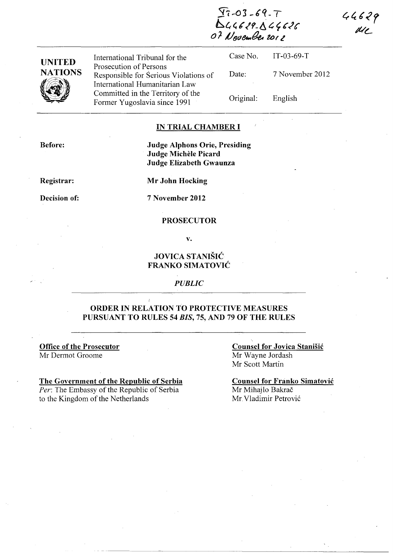*57 ..* **03 \_Cq\_** <sup>T</sup> ~4~61?-ti c. ~ **6'le**  *o* **J. J/t)d&..ik UJI <sup>Z</sup>**

| International Tribunal for the                                  |                   | Case No. IT-03-69-T |
|-----------------------------------------------------------------|-------------------|---------------------|
| Prosecution of Persons<br>Responsible for Serious Violations of | Date:             | 7 November 2012     |
| International Humanitarian Law                                  |                   |                     |
| Committed in the Territory of the                               | Original: English |                     |
| Former Yugoslavia since 1991                                    |                   |                     |

## **IN TRIAL CHAMBER I**

**Before:** 

**UNITED NATIONS** 

 $\sqrt{2\pi}$ 

## **Judge Alphons Orie, Presiding Judge Michele Picard Judge Elizabeth Gwaunza**

**Registrar:** 

**Decision of:** 

**Mr John Hocking** 

7 **November 2012** 

#### **PROSECUTOR**

**v.** 

## **JOVICA STANISIC FRANKO SIMATOVIC**

### *PUBLIC*

## **ORDER IN RELATION TO PROTECTIVE MEASURES PURSUANT TO RULES 54** *BIS,* **75, AND 79 OF THE RULES**

**Office of the Prosecutor**  Mr Dermot Groome

# **The Government of the Republic of Serbia**

*Per:* The Embassy of the Republic of Serbia to the Kingdom of the Netherlands

**Counsel for Jovica Stanisic**  Mr Wayne lordash Mr Scott Martin

**Counsel for Franko Simatović** Mr Mihajlo Bakrač Mr Vladimir Petrovi6

 $44629$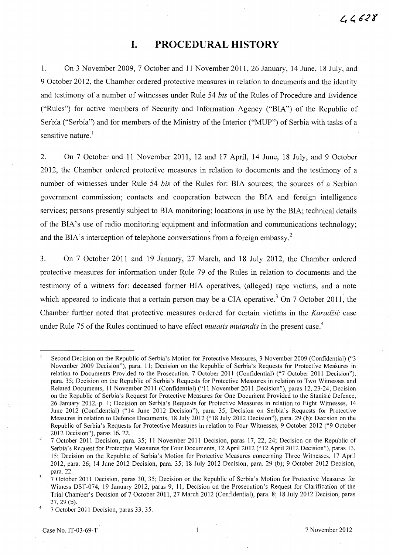# **I. PROCEDURAL HISTORY**

1. On 3 November 2009,7 October and 11 November 2011,26 January, 14 June, 18 July, and 9 October 2012, the Chamber ordered protective measures in relation to documents and the identity and testimony of a number of witnesses under Rule 54 *bis* of the Rules of Procedure and Evidence ("Rules") for active members of Security and Information Agency ("BIA") of the Republic of Serbia ("Serbia") and for members of the Ministry of the Interior ("MUP") of Serbia with tasks of a sensitive nature.<sup>1</sup>

2. On 7 October and 11 November 2011, 12 and 17 April, 14 June, 18 July, and 9 October 2012, the Chamber ordered protective measures in relation to documents and the testimony of a number of witnesses under Rule 54 *bis* of the Rules for: BIA sources; the sources of a Serbian government commission; contacts and cooperation between the BIA and foreign intelligence services; persons presently subject to BIA monitoring; locations in use by the BIA; technical details of the BIA's use of radio monitoring equipment and information and communications technology; and the BIA's interception of telephone conversations from a foreign embassy.<sup>2</sup>

3. On 7 October 2011 and 19 January, 27 March, and 18 July 2012, the Chamber ordered protective measures for information under Rule 79 of the Rules in relation to documents and the testimony of a witness for: deceased former BIA operatives, (alleged) rape victims, and a note which appeared to indicate that a certain person may be a CIA operative.<sup>3</sup> On 7 October 2011, the Chamber further noted that protective measures ordered for certain victims in the *Karadžić* case under Rule 75 of the Rules continued to have effect *mutatis mutandis* in the present case. 4

Second Decision on the Republic of Serbia's Motion for Protective Measures, 3 November 2009 (Confidential) ("3 November 2009 Decision"), para. 11; Decision on the Republic of Serbia's Requests for Protective Measures in relation to Documents Provided to the Prosecution, 7 October 2011 (Confidential) ("7 October 2011 Decision"), para. 35; Decision on the Republic of Serbia's Requests for Protective Measures in relation to Two Witnesses and Related Documents, 11 November 2011 (Confidential) ("11 November 2011 Decision"), paras 12,23-24; Decision on the Republic of Serbia's Request for Protective Measures for One Document Provided to the Stanisic Defence, 26 January 2012, p. 1; Decision on Serbia's Requests for Protective Measures in relation to Eight Witnesses, 14 June 2012 (Confidential) ("14 June 2012 Decision"), para. 35; Decision on Serbia's Requests for Protective Measures in relation to Defence Documents, 18 July 2012 ("18 July 2012 Decision"), para. 29 (b); Decision on the Republic of Serbia's Requests for Protective Measures in relation to Four Witnesses, 9 October 2012 ("9 October 2012 Decision"), paras 16,22.

<sup>7</sup> October 2011 Decision, para. 35; 11 November 2011 Decision, paras 17, 22, 24; Decision on the Republic of Serbia's Request for Protective Measures for Four Documents, 12 April 2012 ("12 April 2012 Decision"), paras 13, 15; Decision on the Republic of Serbia's Motion for Protective Measures concerning Three Witnesses, 17 April 2012, para. 26; 14 June 2012 Decision, para. 35; 18 July 2012 Decision, para. 29 (b); 9 October 2012 Decision, para. 22.

<sup>7</sup> October 2011 Decision, paras 30, 35; Decision on the Republic of Serbia's Motion for Protective Measures for Witness DST-074, 19 January 2012, paras 9, 11; Decision on the Prosecution's Request for Clarification of the Trial Chamber's Decision of 7 October 2011,27 March 2012 (Confidential), para. 8; 18 July 2012 Decision, paras 27,29 (b).

<sup>7</sup> October 2011 Decision, paras 33, 35.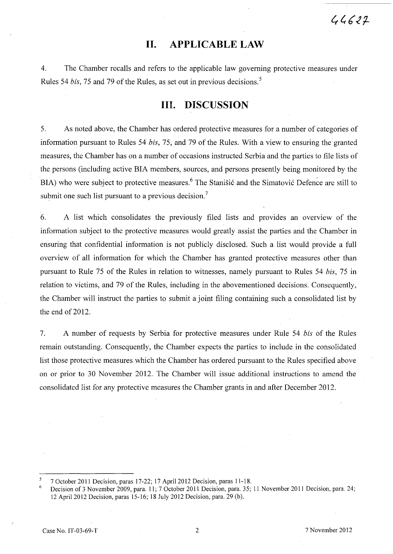# **11. APPLICABLE LAW**

4. The Chamber recalls and refers to the applicable law governing protective measures under Rules 54 *bis,* 75 and 79 of the Rules, as set out in previous decisions. <sup>5</sup>

# **Ill. DISCUSSION**

5. As noted above, the Chamber has ordered protective measures for a number of categories of information pursuant to Rules 54 *bis,* 75, and 79 of the Rules. With a view to ensuring the granted measures, the Chamber has on a number of occasions instructed Serbia and the parties to file lists of the persons (including active BIA members, sources, and persons presently being monitored by the  $BIA$ ) who were subject to protective measures.<sup>6</sup> The Stanistic and the Simatovic Defence are still to submit one such list pursuant to a previous decision.<sup>7</sup>

6. A list which consolidates the previously filed lists and provides an overview of the information subject to the protective measures would greatly assist the parties and the Chamber in ensuring that confidential information is not publicly disclosed. Such a list would provide a full overview of all information for which the Chamber has granted protective measures other than pursuant to Rule 75 of the Rules in relation to witnesses, namely pursuant to Rules 54 *bis,* 75 in relation to victims, and 79 of the Rules, including in the abovementioned decisions. Consequently, the Chamber will instruct the parties to submit a joint filing containing such a consolidated list by the end of 2012.

7. A number of requests by Serbia for protective measures under Rule 54 *bis* of the Rules remain outstanding. Consequently, the Chamber expects the parties to include in the consolidated list those protective measures which the Chamber has ordered pursuant to the Rules specified above on or prior to 30 November 2012. The Chamber will issue additional instructions to amend the consolidated list for any protective measures the Chamber grants in and after December 2012.

<sup>7</sup> October **2011** Decision, paras 17-22; 17 April 2012 Decision, paras 11-18.

<sup>6</sup>  Decision of 3 November 2009, para. 11; 7 October 2011 Decision, para. 35; **11** November 2011 Decision, para. 24; 12 April 2012 Decision, paras 15-16; 18 July 2012 Decision, para. 29 (b).